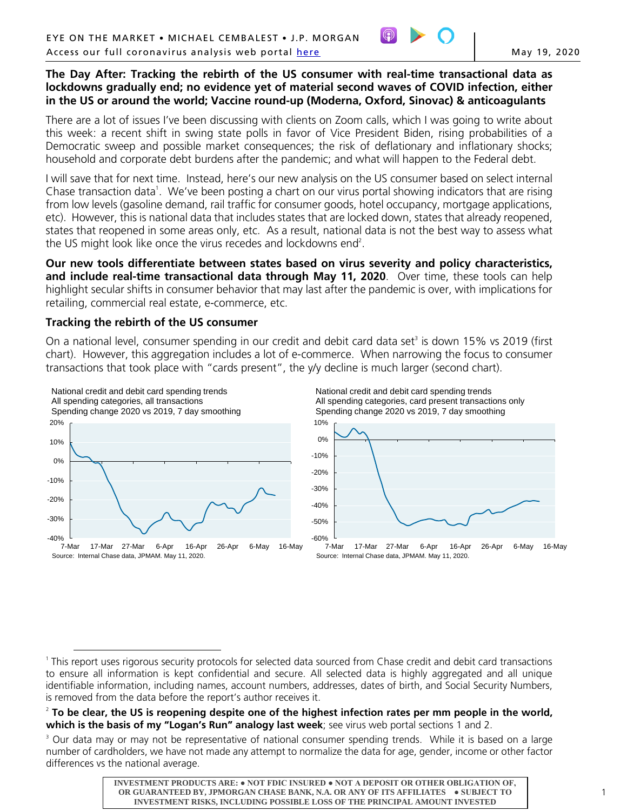

# **The Day After: Tracking the rebirth of the US consumer with real-time transactional data as lockdowns gradually end; no evidence yet of material second waves of COVID infection, either in the US or around the world; Vaccine round-up (Moderna, Oxford, Sinovac) & anticoagulants**

There are a lot of issues I've been discussing with clients on Zoom calls, which I was going to write about this week: a recent shift in swing state polls in favor of Vice President Biden, rising probabilities of a Democratic sweep and possible market consequences; the risk of deflationary and inflationary shocks; household and corporate debt burdens after the pandemic; and what will happen to the Federal debt.

I will save that for next time. Instead, here's our new analysis on the US consumer based on select internal Chase transaction data<sup>1</sup>. We've been posting a chart on our virus portal showing indicators that are rising from low levels (gasoline demand, rail traffic for consumer goods, hotel occupancy, mortgage applications, etc). However, this is national data that includes states that are locked down, states that already reopened, states that reopened in some areas only, etc. As a result, national data is not the best way to assess what the US might look like once the virus recedes and lockdowns end<sup>2</sup>.

**Our new tools differentiate between states based on virus severity and policy characteristics, and include real-time transactional data through May 11, 2020**. Over time, these tools can help highlight secular shifts in consumer behavior that may last after the pandemic is over, with implications for retailing, commercial real estate, e-commerce, etc.

# **Tracking the rebirth of the US consumer**

On a national level, consumer spending in our credit and debit card data set<sup>3</sup> is down 15% vs 2019 (first chart). However, this aggregation includes a lot of e-commerce. When narrowing the focus to consumer transactions that took place with "cards present", the y/y decline is much larger (second chart).







 $\overline{a}$ <sup>1</sup> This report uses rigorous security protocols for selected data sourced from Chase credit and debit card transactions to ensure all information is kept confidential and secure. All selected data is highly aggregated and all unique identifiable information, including names, account numbers, addresses, dates of birth, and Social Security Numbers, is removed from the data before the report's author receives it.

<sup>2</sup> **To be clear, the US is reopening despite one of the highest infection rates per mm people in the world, which is the basis of my "Logan's Run" analogy last week**; see virus web portal sections 1 and 2.

<sup>&</sup>lt;sup>3</sup> Our data may or may not be representative of national consumer spending trends. While it is based on a large number of cardholders, we have not made any attempt to normalize the data for age, gender, income or other factor differences vs the national average.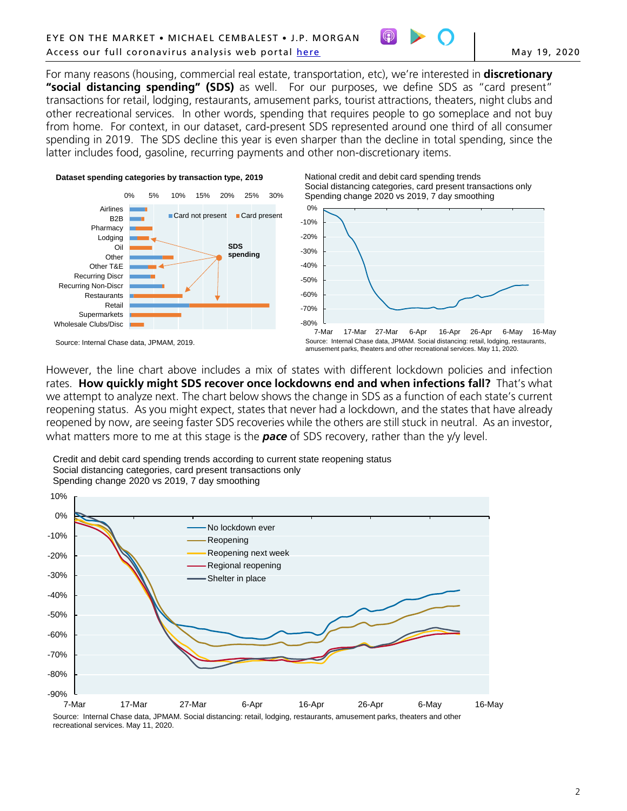

For many reasons (housing, commercial real estate, transportation, etc), we're interested in **discretionary "social distancing spending" (SDS)** as well. For our purposes, we define SDS as "card present" transactions for retail, lodging, restaurants, amusement parks, tourist attractions, theaters, night clubs and other recreational services. In other words, spending that requires people to go someplace and not buy from home. For context, in our dataset, card-present SDS represented around one third of all consumer spending in 2019. The SDS decline this year is even sharper than the decline in total spending, since the latter includes food, gasoline, recurring payments and other non-discretionary items.









Source: Internal Chase data, JPMAM. Social distancing: retail, lodging, restaurants, amusement parks, theaters and other recreational services. May 11, 2020.

However, the line chart above includes a mix of states with different lockdown policies and infection rates. **How quickly might SDS recover once lockdowns end and when infections fall?** That's what we attempt to analyze next. The chart below shows the change in SDS as a function of each state's current reopening status. As you might expect, states that never had a lockdown, and the states that have already reopened by now, are seeing faster SDS recoveries while the others are still stuck in neutral. As an investor, what matters more to me at this stage is the *pace* of SDS recovery, rather than the y/y level.

Credit and debit card spending trends according to current state reopening status Social distancing categories, card present transactions only Spending change 2020 vs 2019, 7 day smoothing



Source: Internal Chase data, JPMAM. Social distancing: retail, lodging, restaurants, amusement parks, theaters and other recreational services. May 11, 2020.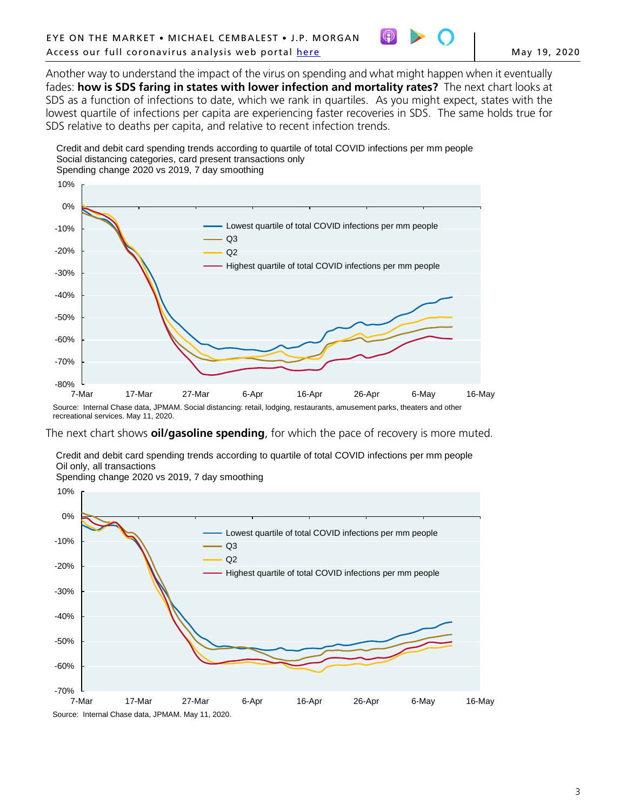

Another way to understand the impact of the virus on spending and what might happen when it eventually fades: **how is SDS faring in states with lower infection and mortality rates?** The next chart looks at SDS as a function of infections to date, which we rank in quartiles. As you might expect, states with the lowest quartile of infections per capita are experiencing faster recoveries in SDS. The same holds true for SDS relative to deaths per capita, and relative to recent infection trends.

Credit and debit card spending trends according to quartile of total COVID infections per mm people Social distancing categories, card present transactions only Spending change 2020 vs 2019, 7 day smoothing



Source: Internal Chase data, JPMAM. Social distancing: retail, lodging, restaurants, amusement parks, theaters and other recreational services. May 11, 2020.

The next chart shows **oil/gasoline spending**, for which the pace of recovery is more muted.

Credit and debit card spending trends according to quartile of total COVID infections per mm people Oil only, all transactions

-70% -60% -50% -40% -30% -20% -10% 0% 10% 7-Mar 17-Mar 27-Mar 6-Apr 16-Apr 26-Apr 6-May 16-May Lowest quartile of total COVID infections per mm people Q3 Q2 Highest quartile of total COVID infections per mm people Spending change 2020 vs 2019, 7 day smoothing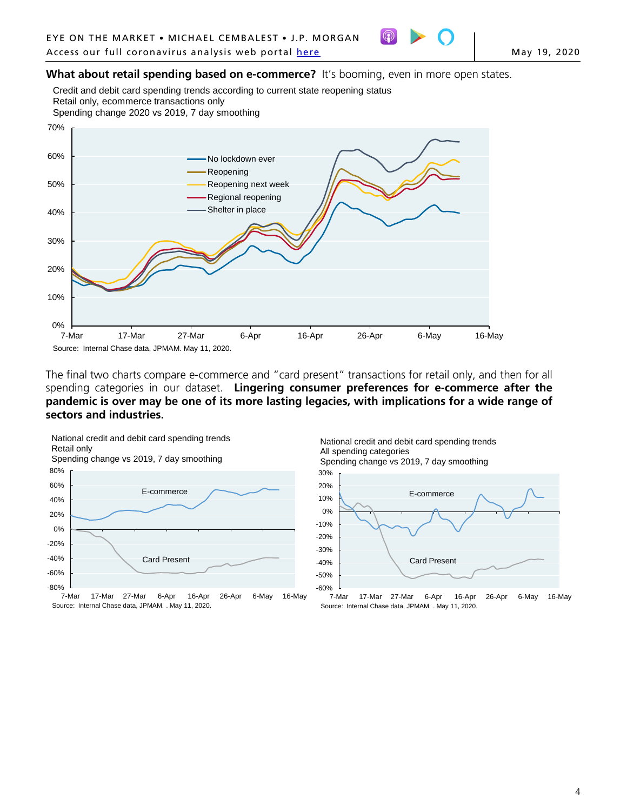

What about retail spending based on e-commerce? It's booming, even in more open states.

Credit and debit card spending trends according to current state reopening status Retail only, ecommerce transactions only

Spending change 2020 vs 2019, 7 day smoothing



The final two charts compare e-commerce and "card present" transactions for retail only, and then for all spending categories in our dataset. **Lingering consumer preferences for e-commerce after the pandemic is over may be one of its more lasting legacies, with implications for a wide range of sectors and industries.**





Source: Internal Chase data, JPMAM. . May 11, 2020.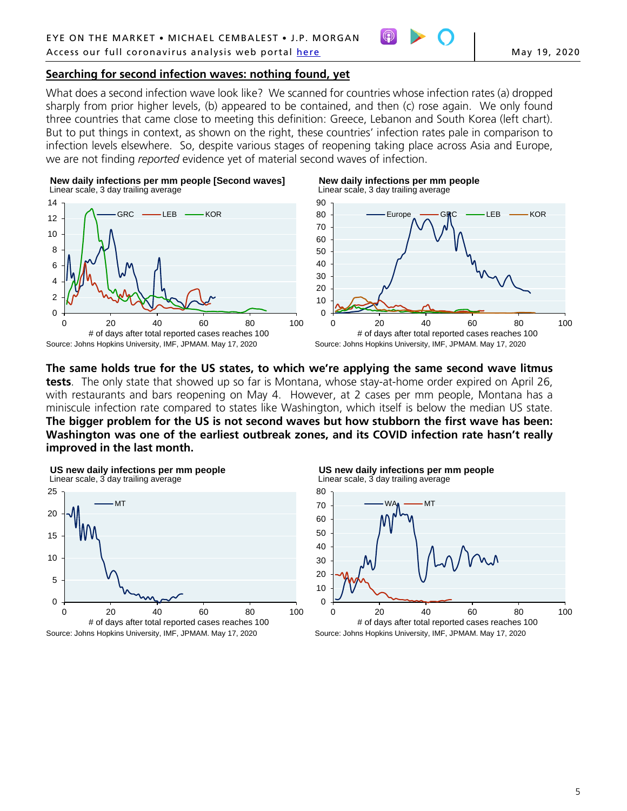# **Searching for second infection waves: nothing found, yet**

What does a second infection wave look like? We scanned for countries whose infection rates (a) dropped sharply from prior higher levels, (b) appeared to be contained, and then (c) rose again. We only found three countries that came close to meeting this definition: Greece, Lebanon and South Korea (left chart). But to put things in context, as shown on the right, these countries' infection rates pale in comparison to infection levels elsewhere. So, despite various stages of reopening taking place across Asia and Europe, we are not finding *reported* evidence yet of material second waves of infection.





**New daily infections per mm people** Linear scale, 3 day trailing average



**The same holds true for the US states, to which we're applying the same second wave litmus tests**. The only state that showed up so far is Montana, whose stay-at-home order expired on April 26, with restaurants and bars reopening on May 4. However, at 2 cases per mm people, Montana has a miniscule infection rate compared to states like Washington, which itself is below the median US state. **The bigger problem for the US is not second waves but how stubborn the first wave has been: Washington was one of the earliest outbreak zones, and its COVID infection rate hasn't really improved in the last month.**





**US new daily infections per mm people** Linear scale, 3 day trailing average

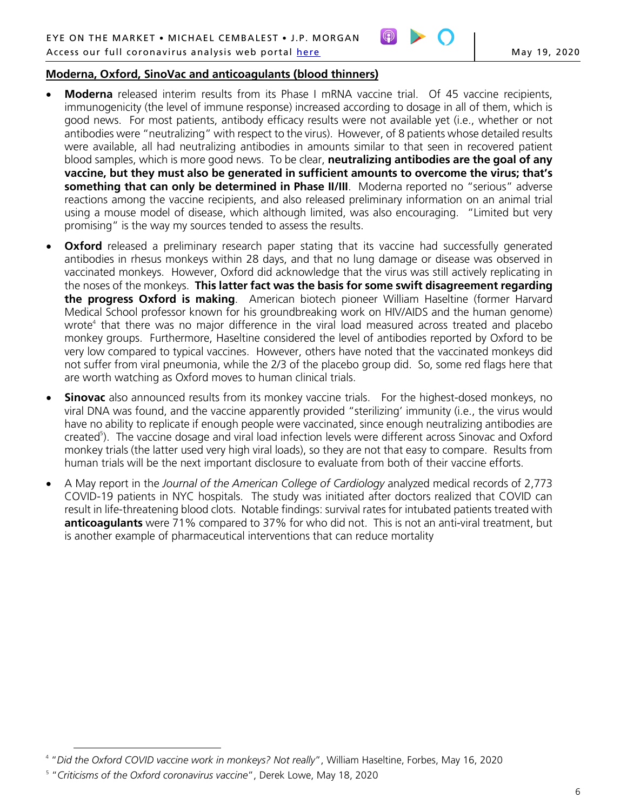

# **Moderna, Oxford, SinoVac and anticoagulants (blood thinners)**

- **Moderna** released interim results from its Phase I mRNA vaccine trial. Of 45 vaccine recipients, immunogenicity (the level of immune response) increased according to dosage in all of them, which is good news. For most patients, antibody efficacy results were not available yet (i.e., whether or not antibodies were "neutralizing" with respect to the virus). However, of 8 patients whose detailed results were available, all had neutralizing antibodies in amounts similar to that seen in recovered patient blood samples, which is more good news. To be clear, **neutralizing antibodies are the goal of any vaccine, but they must also be generated in sufficient amounts to overcome the virus; that's something that can only be determined in Phase II/III**. Moderna reported no "serious" adverse reactions among the vaccine recipients, and also released preliminary information on an animal trial using a mouse model of disease, which although limited, was also encouraging. "Limited but very promising" is the way my sources tended to assess the results.
- **Oxford** released a preliminary research paper stating that its vaccine had successfully generated antibodies in rhesus monkeys within 28 days, and that no lung damage or disease was observed in vaccinated monkeys. However, Oxford did acknowledge that the virus was still actively replicating in the noses of the monkeys. **This latter fact was the basis for some swift disagreement regarding the progress Oxford is making**. American biotech pioneer William Haseltine (former Harvard Medical School professor known for his groundbreaking work on HIV/AIDS and the human genome) wrote<sup>4</sup> that there was no major difference in the viral load measured across treated and placebo monkey groups. Furthermore, Haseltine considered the level of antibodies reported by Oxford to be very low compared to typical vaccines. However, others have noted that the vaccinated monkeys did not suffer from viral pneumonia, while the 2/3 of the placebo group did. So, some red flags here that are worth watching as Oxford moves to human clinical trials.
- **Sinovac** also announced results from its monkey vaccine trials. For the highest-dosed monkeys, no viral DNA was found, and the vaccine apparently provided "sterilizing' immunity (i.e., the virus would have no ability to replicate if enough people were vaccinated, since enough neutralizing antibodies are created<sup>5</sup>). The vaccine dosage and viral load infection levels were different across Sinovac and Oxford monkey trials (the latter used very high viral loads), so they are not that easy to compare. Results from human trials will be the next important disclosure to evaluate from both of their vaccine efforts.
- A May report in the *Journal of the American College of Cardiology* analyzed medical records of 2,773 COVID-19 patients in NYC hospitals. The study was initiated after doctors realized that COVID can result in life-threatening blood clots. Notable findings: survival rates for intubated patients treated with **anticoagulants** were 71% compared to 37% for who did not. This is not an anti-viral treatment, but is another example of pharmaceutical interventions that can reduce mortality

 $\overline{a}$ <sup>4</sup> "*Did the Oxford COVID vaccine work in monkeys? Not really*", William Haseltine, Forbes, May 16, 2020

<sup>5</sup> "*Criticisms of the Oxford coronavirus vaccine*", Derek Lowe, May 18, 2020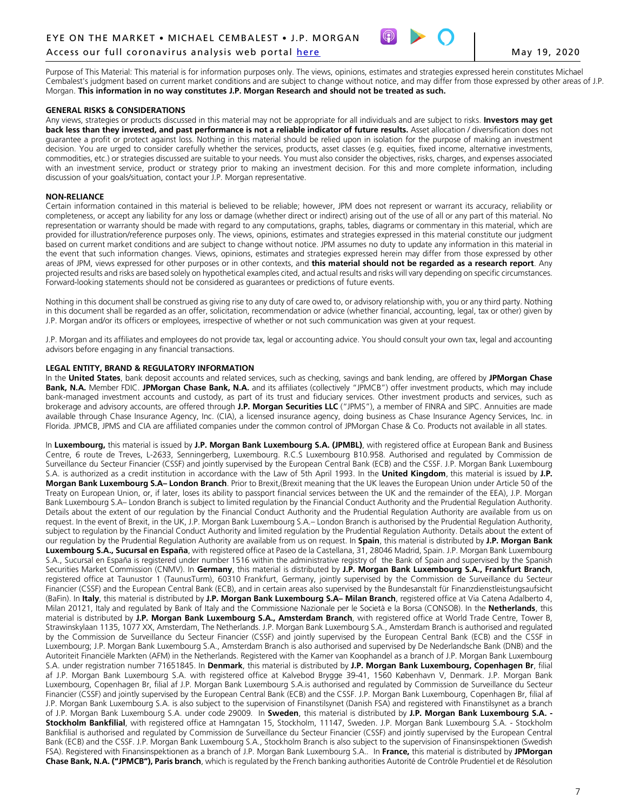

Purpose of This Material: This material is for information purposes only. The views, opinions, estimates and strategies expressed herein constitutes Michael Cembalest's judgment based on current market conditions and are subject to change without notice, and may differ from those expressed by other areas of J.P. Morgan. **This information in no way constitutes J.P. Morgan Research and should not be treated as such.**

#### **GENERAL RISKS & CONSIDERATIONS**

Any views, strategies or products discussed in this material may not be appropriate for all individuals and are subject to risks. **Investors may get**  back less than they invested, and past performance is not a reliable indicator of future results. Asset allocation / diversification does not guarantee a profit or protect against loss. Nothing in this material should be relied upon in isolation for the purpose of making an investment decision. You are urged to consider carefully whether the services, products, asset classes (e.g. equities, fixed income, alternative investments, commodities, etc.) or strategies discussed are suitable to your needs. You must also consider the objectives, risks, charges, and expenses associated with an investment service, product or strategy prior to making an investment decision. For this and more complete information, including discussion of your goals/situation, contact your J.P. Morgan representative.

#### **NON-RELIANCE**

Certain information contained in this material is believed to be reliable; however, JPM does not represent or warrant its accuracy, reliability or completeness, or accept any liability for any loss or damage (whether direct or indirect) arising out of the use of all or any part of this material. No representation or warranty should be made with regard to any computations, graphs, tables, diagrams or commentary in this material, which are provided for illustration/reference purposes only. The views, opinions, estimates and strategies expressed in this material constitute our judgment based on current market conditions and are subject to change without notice. JPM assumes no duty to update any information in this material in the event that such information changes. Views, opinions, estimates and strategies expressed herein may differ from those expressed by other areas of JPM, views expressed for other purposes or in other contexts, and **this material should not be regarded as a research report**. Any projected results and risks are based solely on hypothetical examples cited, and actual results and risks will vary depending on specific circumstances. Forward-looking statements should not be considered as guarantees or predictions of future events.

Nothing in this document shall be construed as giving rise to any duty of care owed to, or advisory relationship with, you or any third party. Nothing in this document shall be regarded as an offer, solicitation, recommendation or advice (whether financial, accounting, legal, tax or other) given by J.P. Morgan and/or its officers or employees, irrespective of whether or not such communication was given at your request.

J.P. Morgan and its affiliates and employees do not provide tax, legal or accounting advice. You should consult your own tax, legal and accounting advisors before engaging in any financial transactions.

#### **LEGAL ENTITY, BRAND & REGULATORY INFORMATION**

In the **United States**, bank deposit accounts and related services, such as checking, savings and bank lending, are offered by **JPMorgan Chase Bank, N.A.** Member FDIC. **JPMorgan Chase Bank, N.A.** and its affiliates (collectively "JPMCB") offer investment products, which may include bank-managed investment accounts and custody, as part of its trust and fiduciary services. Other investment products and services, such as brokerage and advisory accounts, are offered through **J.P. Morgan Securities LLC** ("JPMS"), a member of FINRA and SIPC. Annuities are made available through Chase Insurance Agency, Inc. (CIA), a licensed insurance agency, doing business as Chase Insurance Agency Services, Inc. in Florida. JPMCB, JPMS and CIA are affiliated companies under the common control of JPMorgan Chase & Co. Products not available in all states.

In **Luxembourg,** this material is issued by **J.P. Morgan Bank Luxembourg S.A. (JPMBL)**, with registered office at European Bank and Business Centre, 6 route de Treves, L-2633, Senningerberg, Luxembourg. R.C.S Luxembourg B10.958. Authorised and regulated by Commission de Surveillance du Secteur Financier (CSSF) and jointly supervised by the European Central Bank (ECB) and the CSSF. J.P. Morgan Bank Luxembourg S.A. is authorized as a credit institution in accordance with the Law of 5th April 1993. In the **United Kingdom**, this material is issued by **J.P. Morgan Bank Luxembourg S.A– London Branch**. Prior to Brexit,(Brexit meaning that the UK leaves the European Union under Article 50 of the Treaty on European Union, or, if later, loses its ability to passport financial services between the UK and the remainder of the EEA), J.P. Morgan Bank Luxembourg S.A– London Branch is subject to limited regulation by the Financial Conduct Authority and the Prudential Regulation Authority. Details about the extent of our regulation by the Financial Conduct Authority and the Prudential Regulation Authority are available from us on request. In the event of Brexit, in the UK, J.P. Morgan Bank Luxembourg S.A.– London Branch is authorised by the Prudential Regulation Authority, subject to regulation by the Financial Conduct Authority and limited regulation by the Prudential Regulation Authority. Details about the extent of our regulation by the Prudential Regulation Authority are available from us on request. In **Spain**, this material is distributed by **J.P. Morgan Bank Luxembourg S.A., Sucursal en España**, with registered office at Paseo de la Castellana, 31, 28046 Madrid, Spain. J.P. Morgan Bank Luxembourg S.A., Sucursal en España is registered under number 1516 within the administrative registry of the Bank of Spain and supervised by the Spanish Securities Market Commission (CNMV). In **Germany**, this material is distributed by **J.P. Morgan Bank Luxembourg S.A., Frankfurt Branch**, registered office at Taunustor 1 (TaunusTurm), 60310 Frankfurt, Germany, jointly supervised by the Commission de Surveillance du Secteur Financier (CSSF) and the European Central Bank (ECB), and in certain areas also supervised by the Bundesanstalt für Finanzdienstleistungsaufsicht (BaFin). In **Italy**, this material is distributed by **J.P. Morgan Bank Luxembourg S.A– Milan Branch**, registered office at Via Catena Adalberto 4, Milan 20121, Italy and regulated by Bank of Italy and the Commissione Nazionale per le Società e la Borsa (CONSOB). In the **Netherlands**, this material is distributed by **J.P. Morgan Bank Luxembourg S.A., Amsterdam Branch**, with registered office at World Trade Centre, Tower B, Strawinskylaan 1135, 1077 XX, Amsterdam, The Netherlands. J.P. Morgan Bank Luxembourg S.A., Amsterdam Branch is authorised and regulated by the Commission de Surveillance du Secteur Financier (CSSF) and jointly supervised by the European Central Bank (ECB) and the CSSF in Luxembourg; J.P. Morgan Bank Luxembourg S.A., Amsterdam Branch is also authorised and supervised by De Nederlandsche Bank (DNB) and the Autoriteit Financiële Markten (AFM) in the Netherlands. Registered with the Kamer van Koophandel as a branch of J.P. Morgan Bank Luxembourg S.A. under registration number 71651845. In **Denmark**, this material is distributed by **J.P. Morgan Bank Luxembourg, Copenhagen Br**, filial af J.P. Morgan Bank Luxembourg S.A. with registered office at Kalvebod Brygge 39-41, 1560 København V, Denmark. J.P. Morgan Bank Luxembourg, Copenhagen Br, filial af J.P. Morgan Bank Luxembourg S.A.is authorised and regulated by Commission de Surveillance du Secteur Financier (CSSF) and jointly supervised by the European Central Bank (ECB) and the CSSF. J.P. Morgan Bank Luxembourg, Copenhagen Br, filial af J.P. Morgan Bank Luxembourg S.A. is also subject to the supervision of Finanstilsynet (Danish FSA) and registered with Finanstilsynet as a branch of J.P. Morgan Bank Luxembourg S.A. under code 29009*.* In **Sweden**, this material is distributed by **J.P. Morgan Bank Luxembourg S.A. - Stockholm Bankfilial**, with registered office at Hamngatan 15, Stockholm, 11147, Sweden. J.P. Morgan Bank Luxembourg S.A. - Stockholm Bankfilial is authorised and regulated by Commission de Surveillance du Secteur Financier (CSSF) and jointly supervised by the European Central Bank (ECB) and the CSSF. J.P. Morgan Bank Luxembourg S.A., Stockholm Branch is also subject to the supervision of Finansinspektionen (Swedish FSA). Registered with Finansinspektionen as a branch of J.P. Morgan Bank Luxembourg S.A.*.* In **France,** this material is distributed by **JPMorgan Chase Bank, N.A. ("JPMCB"), Paris branch**, which is regulated by the French banking authorities Autorité de Contrôle Prudentiel et de Résolution